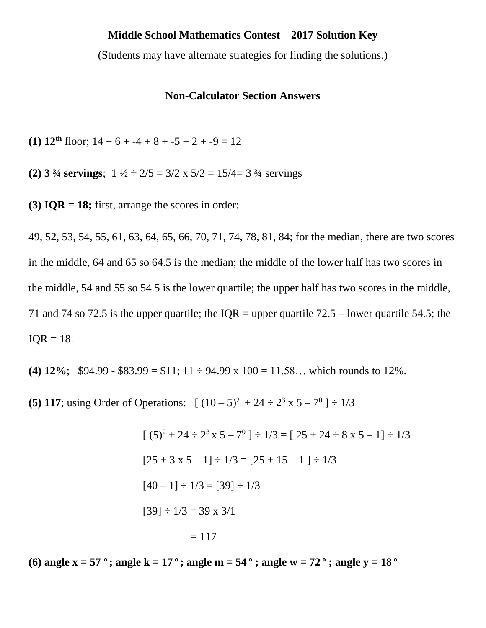## **Middle School Mathematics Contest – 2017 Solution Key**

(Students may have alternate strategies for finding the solutions.)

## **Non-Calculator Section Answers**

**(1) 12<sup>th</sup>** floor;  $14 + 6 + -4 + 8 + -5 + 2 + -9 = 12$ 

**(2) 3** <sup>3</sup>/<sub>4</sub> servings;  $1\frac{1}{2} \div 2/5 = 3/2 \times 5/2 = 15/4 = 3$  <sup>3</sup>/<sub>4</sub> servings

**(3) IQR = 18;** first, arrange the scores in order:

49, 52, 53, 54, 55, 61, 63, 64, 65, 66, 70, 71, 74, 78, 81, 84; for the median, there are two scores in the middle, 64 and 65 so 64.5 is the median; the middle of the lower half has two scores in the middle, 54 and 55 so 54.5 is the lower quartile; the upper half has two scores in the middle, 71 and 74 so 72.5 is the upper quartile; the IOR = upper quartile  $72.5$  – lower quartile 54.5; the  $IOR = 18.$ 

**(4) 12%;** \$94.99 - \$83.99 = \$11; 11  $\div$  94.99 x 100 = 11.58... which rounds to 12%.

**(5) 117;** using Order of Operations:  $[(10-5)^2 + 24 \div 2^3 \times 5 - 7^0] \div 1/3$ 

$$
[(5)^{2} + 24 \div 2^{3} \times 5 - 7^{0}] \div 1/3 = [25 + 24 \div 8 \times 5 - 1] \div 1/3
$$
  
\n
$$
[25 + 3 \times 5 - 1] \div 1/3 = [25 + 15 - 1] \div 1/3
$$
  
\n
$$
[40 - 1] \div 1/3 = [39] \div 1/3
$$
  
\n
$$
[39] \div 1/3 = 39 \times 3/1
$$
  
\n
$$
= 117
$$

**(6)** angle  $x = 57$  °; angle  $k = 17$  °; angle  $m = 54$  °; angle  $w = 72$  °; angle  $y = 18$  °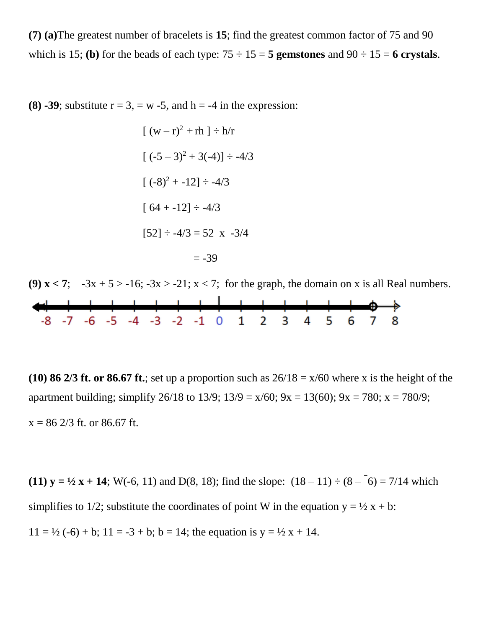**(7) (a)**The greatest number of bracelets is **15**; find the greatest common factor of 75 and 90 which is 15; **(b)** for the beads of each type:  $75 \div 15 = 5$  gemstones and  $90 \div 15 = 6$  crystals.

**(8) -39**; substitute  $r = 3$ ,  $w = 5$ , and  $h = -4$  in the expression:

$$
[(w - r)^{2} + rh] \div h/r
$$
  
\n
$$
[(-5 - 3)^{2} + 3(-4)] \div -4/3
$$
  
\n
$$
[(-8)^{2} + -12] \div -4/3
$$
  
\n
$$
[64 + -12] \div -4/3
$$
  
\n
$$
[52] \div -4/3 = 52 \times -3/4
$$
  
\n
$$
= -39
$$

**(9)**  $x < 7$ **;**  $-3x + 5 > -16$ ;  $-3x > -21$ ;  $x < 7$ ; for the graph, the domain on x is all Real numbers.  $-8$  -7 -6 -5 -4 -3 -2 -1 0 1 2 3 4 5

**(10) 86 2/3 ft. or 86.67 ft.**; set up a proportion such as  $26/18 = x/60$  where x is the height of the apartment building; simplify 26/18 to 13/9;  $13/9 = x/60$ ;  $9x = 13(60)$ ;  $9x = 780$ ;  $x = 780/9$ ;  $x = 86\frac{2}{3}$  ft. or 86.67 ft.

**(11)**  $y = \frac{1}{2}x + 14$ **;** W(-6, 11) and D(8, 18); find the slope:  $(18 - 11) \div (8 - 11)$ -  $6) = 7/14$  which simplifies to 1/2; substitute the coordinates of point W in the equation  $y = \frac{1}{2}x + b$ :  $11 = \frac{1}{2}(-6) + b$ ;  $11 = -3 + b$ ;  $b = 14$ ; the equation is  $y = \frac{1}{2}x + 14$ .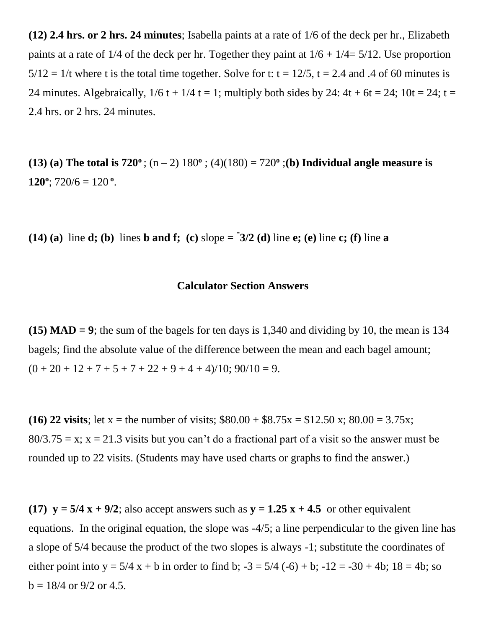**(12) 2.4 hrs. or 2 hrs. 24 minutes**; Isabella paints at a rate of 1/6 of the deck per hr., Elizabeth paints at a rate of  $1/4$  of the deck per hr. Together they paint at  $1/6 + 1/4 = 5/12$ . Use proportion  $5/12 = 1/t$  where t is the total time together. Solve for t: t = 12/5, t = 2.4 and .4 of 60 minutes is 24 minutes. Algebraically,  $1/6$  t +  $1/4$  t = 1; multiply both sides by 24:  $4t + 6t = 24$ ;  $10t = 24$ ;  $t =$ 2.4 hrs. or 2 hrs. 24 minutes.

**(13)** (a) The total is  $720^{\circ}$ ;  $(n-2) 180^{\circ}$ ;  $(4)(180) = 720^{\circ}$ ; (b) Individual angle measure is 120<sup>o</sup>; 720/6 = 120<sup>o</sup>.

**(14)** (a) line **d**; (b) lines **b** and **f**; (c) slope =  $\frac{1}{2}$  (d) line **e**; (e) line **c**; (f) line **a** 

## **Calculator Section Answers**

**(15) MAD = 9**; the sum of the bagels for ten days is 1,340 and dividing by 10, the mean is 134 bagels; find the absolute value of the difference between the mean and each bagel amount;  $(0 + 20 + 12 + 7 + 5 + 7 + 22 + 9 + 4 + 4)/10$ ;  $90/10 = 9$ .

**(16) 22 visits**; let x = the number of visits;  $$80.00 + $8.75x = $12.50x$ ;  $80.00 = 3.75x$ ;  $80/3.75 = x$ ;  $x = 21.3$  visits but you can't do a fractional part of a visit so the answer must be rounded up to 22 visits. (Students may have used charts or graphs to find the answer.)

**(17)**  $\mathbf{v} = 5/4 \mathbf{x} + 9/2$ ; also accept answers such as  $\mathbf{v} = 1.25 \mathbf{x} + 4.5$  or other equivalent equations. In the original equation, the slope was -4/5; a line perpendicular to the given line has a slope of 5/4 because the product of the two slopes is always -1; substitute the coordinates of either point into y =  $5/4$  x + b in order to find b;  $-3 = 5/4$  (-6) + b;  $-12 = -30 + 4$ b;  $18 = 4$ b; so  $b = 18/4$  or 9/2 or 4.5.